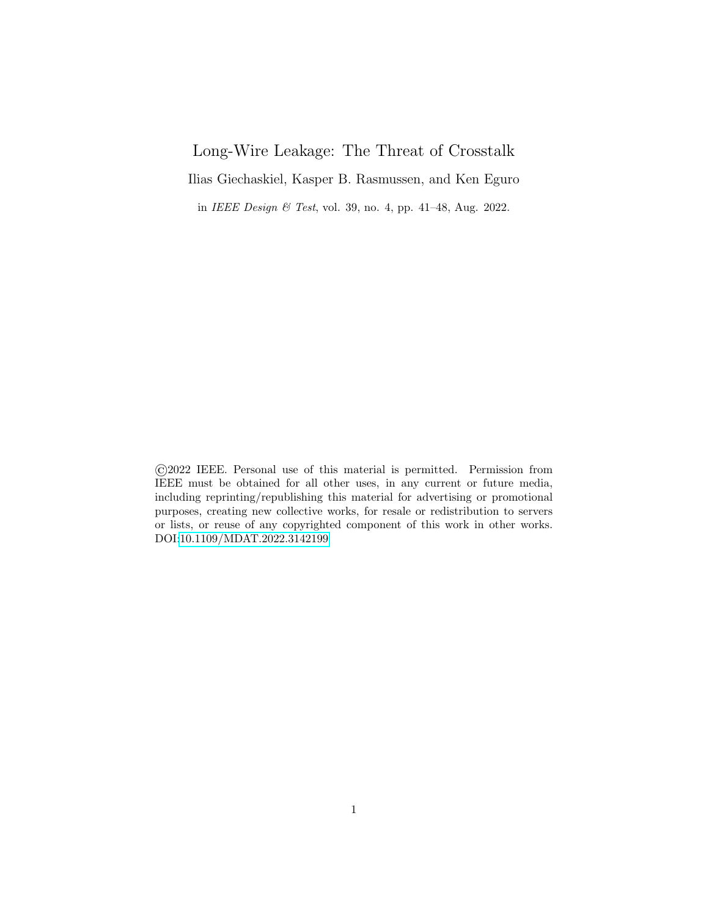# Long-Wire Leakage: The Threat of Crosstalk

Ilias Giechaskiel, Kasper B. Rasmussen, and Ken Eguro

in IEEE Design & Test, vol. 39, no. 4, pp. 41–48, Aug. 2022.

©2022 IEEE. Personal use of this material is permitted. Permission from IEEE must be obtained for all other uses, in any current or future media, including reprinting/republishing this material for advertising or promotional purposes, creating new collective works, for resale or redistribution to servers or lists, or reuse of any copyrighted component of this work in other works. DOI[:10.1109/MDAT.2022.3142199](http://doi.org/10.1109/MDAT.2022.3142199)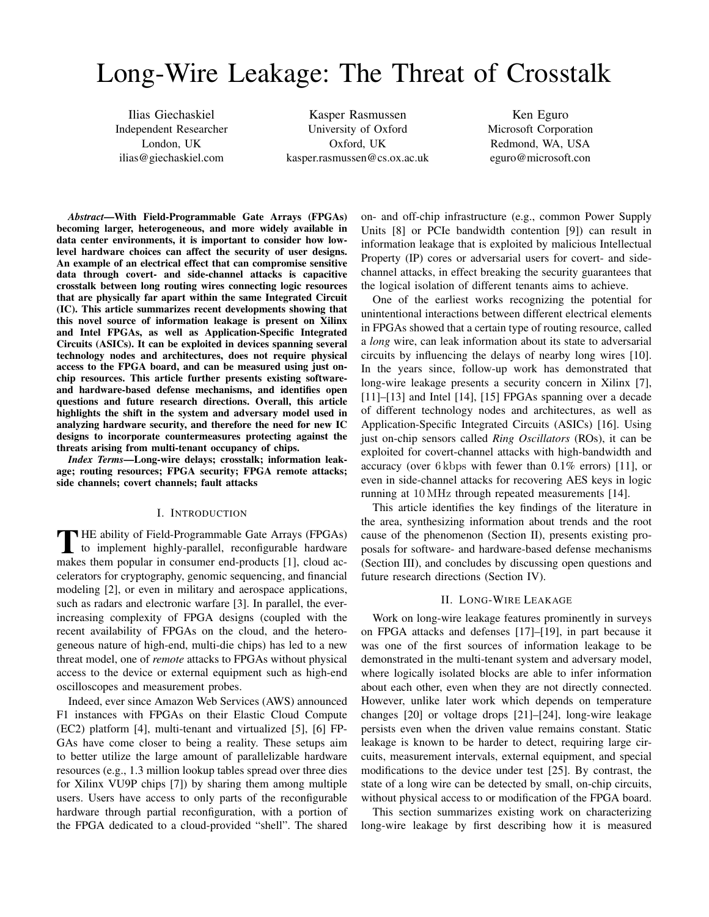# Long-Wire Leakage: The Threat of Crosstalk

Ilias Giechaskiel Independent Researcher London, UK [ilias@giechaskiel.com](mailto:ilias@giechaskiel.com)

Kasper Rasmussen University of Oxford Oxford, UK [kasper.rasmussen@cs.ox.ac.uk](mailto:kasper.rasmussen@cs.ox.ac.uk)

Ken Eguro Microsoft Corporation Redmond, WA, USA [eguro@microsoft.con](mailto:eguro@microsoft.con)

*Abstract*—With Field-Programmable Gate Arrays (FPGAs) becoming larger, heterogeneous, and more widely available in data center environments, it is important to consider how lowlevel hardware choices can affect the security of user designs. An example of an electrical effect that can compromise sensitive data through covert- and side-channel attacks is capacitive crosstalk between long routing wires connecting logic resources that are physically far apart within the same Integrated Circuit (IC). This article summarizes recent developments showing that this novel source of information leakage is present on Xilinx and Intel FPGAs, as well as Application-Specific Integrated Circuits (ASICs). It can be exploited in devices spanning several technology nodes and architectures, does not require physical access to the FPGA board, and can be measured using just onchip resources. This article further presents existing softwareand hardware-based defense mechanisms, and identifies open questions and future research directions. Overall, this article highlights the shift in the system and adversary model used in analyzing hardware security, and therefore the need for new IC designs to incorporate countermeasures protecting against the threats arising from multi-tenant occupancy of chips.

*Index Terms*—Long-wire delays; crosstalk; information leakage; routing resources; FPGA security; FPGA remote attacks; side channels; covert channels; fault attacks

#### I. INTRODUCTION

THE ability of Field-Programmable Gate Arrays (FPGAs)<br>to implement highly-parallel, reconfigurable hardware to implement highly-parallel, reconfigurable hardware makes them popular in consumer end-products [\[1\]](#page-5-0), cloud accelerators for cryptography, genomic sequencing, and financial modeling [\[2\]](#page-5-1), or even in military and aerospace applications, such as radars and electronic warfare [\[3\]](#page-5-2). In parallel, the everincreasing complexity of FPGA designs (coupled with the recent availability of FPGAs on the cloud, and the heterogeneous nature of high-end, multi-die chips) has led to a new threat model, one of *remote* attacks to FPGAs without physical access to the device or external equipment such as high-end oscilloscopes and measurement probes.

Indeed, ever since Amazon Web Services (AWS) announced F1 instances with FPGAs on their Elastic Cloud Compute (EC2) platform [\[4\]](#page-5-3), multi-tenant and virtualized [\[5\]](#page-5-4), [\[6\]](#page-5-5) FP-GAs have come closer to being a reality. These setups aim to better utilize the large amount of parallelizable hardware resources (e.g., 1.3 million lookup tables spread over three dies for Xilinx VU9P chips [\[7\]](#page-5-6)) by sharing them among multiple users. Users have access to only parts of the reconfigurable hardware through partial reconfiguration, with a portion of the FPGA dedicated to a cloud-provided "shell". The shared on- and off-chip infrastructure (e.g., common Power Supply Units [\[8\]](#page-5-7) or PCIe bandwidth contention [\[9\]](#page-5-8)) can result in information leakage that is exploited by malicious Intellectual Property (IP) cores or adversarial users for covert- and sidechannel attacks, in effect breaking the security guarantees that the logical isolation of different tenants aims to achieve.

One of the earliest works recognizing the potential for unintentional interactions between different electrical elements in FPGAs showed that a certain type of routing resource, called a *long* wire, can leak information about its state to adversarial circuits by influencing the delays of nearby long wires [\[10\]](#page-5-9). In the years since, follow-up work has demonstrated that long-wire leakage presents a security concern in Xilinx [\[7\]](#page-5-6), [\[11\]](#page-5-10)–[\[13\]](#page-5-11) and Intel [\[14\]](#page-5-12), [\[15\]](#page-5-13) FPGAs spanning over a decade of different technology nodes and architectures, as well as Application-Specific Integrated Circuits (ASICs) [\[16\]](#page-5-14). Using just on-chip sensors called *Ring Oscillators* (ROs), it can be exploited for covert-channel attacks with high-bandwidth and accuracy (over 6 kbps with fewer than 0.1% errors) [\[11\]](#page-5-10), or even in side-channel attacks for recovering AES keys in logic running at 10 MHz through repeated measurements [\[14\]](#page-5-12).

This article identifies the key findings of the literature in the area, synthesizing information about trends and the root cause of the phenomenon (Section [II\)](#page-1-0), presents existing proposals for software- and hardware-based defense mechanisms (Section [III\)](#page-5-15), and concludes by discussing open questions and future research directions (Section [IV\)](#page-5-16).

## II. LONG-WIRE LEAKAGE

<span id="page-1-0"></span>Work on long-wire leakage features prominently in surveys on FPGA attacks and defenses [\[17\]](#page-5-17)–[\[19\]](#page-5-18), in part because it was one of the first sources of information leakage to be demonstrated in the multi-tenant system and adversary model, where logically isolated blocks are able to infer information about each other, even when they are not directly connected. However, unlike later work which depends on temperature changes [\[20\]](#page-5-19) or voltage drops [\[21\]](#page-6-0)–[\[24\]](#page-6-1), long-wire leakage persists even when the driven value remains constant. Static leakage is known to be harder to detect, requiring large circuits, measurement intervals, external equipment, and special modifications to the device under test [\[25\]](#page-6-2). By contrast, the state of a long wire can be detected by small, on-chip circuits, without physical access to or modification of the FPGA board.

This section summarizes existing work on characterizing long-wire leakage by first describing how it is measured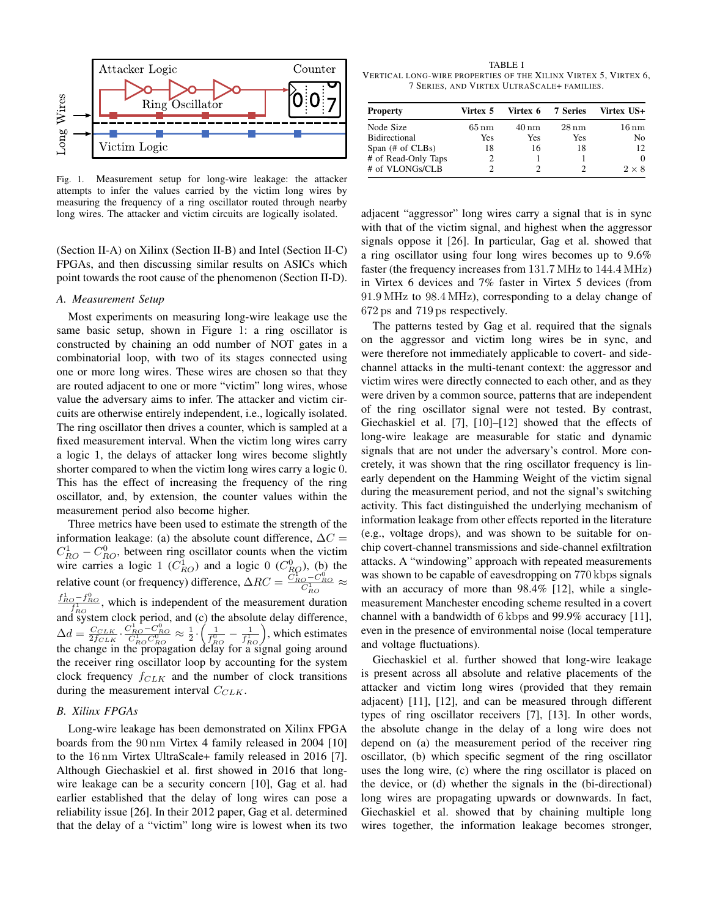

<span id="page-2-2"></span>Fig. 1. Measurement setup for long-wire leakage: the attacker attempts to infer the values carried by the victim long wires by measuring the frequency of a ring oscillator routed through nearby long wires. The attacker and victim circuits are logically isolated.

(Section [II-A\)](#page-2-0) on Xilinx (Section [II-B\)](#page-2-1) and Intel (Section [II-C\)](#page-3-0) FPGAs, and then discussing similar results on ASICs which point towards the root cause of the phenomenon (Section [II-D\)](#page-4-0).

# <span id="page-2-0"></span>*A. Measurement Setup*

Most experiments on measuring long-wire leakage use the same basic setup, shown in Figure [1:](#page-2-2) a ring oscillator is constructed by chaining an odd number of NOT gates in a combinatorial loop, with two of its stages connected using one or more long wires. These wires are chosen so that they are routed adjacent to one or more "victim" long wires, whose value the adversary aims to infer. The attacker and victim circuits are otherwise entirely independent, i.e., logically isolated. The ring oscillator then drives a counter, which is sampled at a fixed measurement interval. When the victim long wires carry a logic 1, the delays of attacker long wires become slightly shorter compared to when the victim long wires carry a logic 0. This has the effect of increasing the frequency of the ring oscillator, and, by extension, the counter values within the measurement period also become higher.

Three metrics have been used to estimate the strength of the information leakage: (a) the absolute count difference,  $\Delta C =$  $C_{RO}^1 - C_{RO}^0$ , between ring oscillator counts when the victim wire carries a logic 1 ( $C_{RO}^1$ ) and a logic 0 ( $C_{RO}^0$ ), (b) the relative count (or frequency) difference,  $\Delta RC = \frac{\tilde{C}_{RO}^{V} - C_{RO}^{0}}{C_{RO}^{1}} \approx$  $\frac{f_{RO}^1 - f_{RO}^0}{f_{RO}}$ , which is independent of the measurement duration and system clock period, and (c) the absolute delay difference,  $\Delta d = \frac{C_{CLK}}{2f_{CLK}} \cdot \frac{C_{RO}^1 - C_{RO}^0}{C_{RO}^1 C_{RO}^0} \approx \frac{1}{2} \cdot \left(\frac{1}{f_{RO}^0} - \frac{1}{f_{RO}^1}\right)$ , which estimates the change in the propagation delay for a signal going around the receiver ring oscillator loop by accounting for the system clock frequency  $f_{CLK}$  and the number of clock transitions during the measurement interval  $C_{CLK}$ .

#### <span id="page-2-1"></span>*B. Xilinx FPGAs*

Long-wire leakage has been demonstrated on Xilinx FPGA boards from the 90 nm Virtex 4 family released in 2004 [\[10\]](#page-5-9) to the 16 nm Virtex UltraScale+ family released in 2016 [\[7\]](#page-5-6). Although Giechaskiel et al. first showed in 2016 that longwire leakage can be a security concern [\[10\]](#page-5-9), Gag et al. had earlier established that the delay of long wires can pose a reliability issue [\[26\]](#page-6-3). In their 2012 paper, Gag et al. determined that the delay of a "victim" long wire is lowest when its two

<span id="page-2-3"></span>TABLE I VERTICAL LONG-WIRE PROPERTIES OF THE XILINX VIRTEX 5, VIRTEX 6, 7 SERIES, AND VIRTEX ULTRASCALE+ FAMILIES.

| <b>Property</b>             | Virtex 5           | Virtex 6 7 Series |                    | Virtex US+        |
|-----------------------------|--------------------|-------------------|--------------------|-------------------|
| Node Size                   | $65 \,\mathrm{nm}$ | 40 nm             | $28 \,\mathrm{nm}$ | $16\,\mathrm{nm}$ |
| <b>Bidirectional</b>        | Yes                | Yes               | Yes                | N <sub>0</sub>    |
| Span $(\# \text{ of CLBs})$ | 18                 | 16                | 18                 | 12                |
| # of Read-Only Taps         |                    |                   |                    | 0                 |
| # of VLONGs/CLB             |                    |                   |                    | $2 \times 8$      |

adjacent "aggressor" long wires carry a signal that is in sync with that of the victim signal, and highest when the aggressor signals oppose it [\[26\]](#page-6-3). In particular, Gag et al. showed that a ring oscillator using four long wires becomes up to 9.6% faster (the frequency increases from 131.7 MHz to 144.4 MHz) in Virtex 6 devices and 7% faster in Virtex 5 devices (from 91.9 MHz to 98.4 MHz), corresponding to a delay change of 672 ps and 719 ps respectively.

The patterns tested by Gag et al. required that the signals on the aggressor and victim long wires be in sync, and were therefore not immediately applicable to covert- and sidechannel attacks in the multi-tenant context: the aggressor and victim wires were directly connected to each other, and as they were driven by a common source, patterns that are independent of the ring oscillator signal were not tested. By contrast, Giechaskiel et al. [\[7\]](#page-5-6), [\[10\]](#page-5-9)–[\[12\]](#page-5-20) showed that the effects of long-wire leakage are measurable for static and dynamic signals that are not under the adversary's control. More concretely, it was shown that the ring oscillator frequency is linearly dependent on the Hamming Weight of the victim signal during the measurement period, and not the signal's switching activity. This fact distinguished the underlying mechanism of information leakage from other effects reported in the literature (e.g., voltage drops), and was shown to be suitable for onchip covert-channel transmissions and side-channel exfiltration attacks. A "windowing" approach with repeated measurements was shown to be capable of eavesdropping on 770 kbps signals with an accuracy of more than 98.4% [\[12\]](#page-5-20), while a singlemeasurement Manchester encoding scheme resulted in a covert channel with a bandwidth of 6 kbps and 99.9% accuracy [\[11\]](#page-5-10), even in the presence of environmental noise (local temperature and voltage fluctuations).

Giechaskiel et al. further showed that long-wire leakage is present across all absolute and relative placements of the attacker and victim long wires (provided that they remain adjacent) [\[11\]](#page-5-10), [\[12\]](#page-5-20), and can be measured through different types of ring oscillator receivers [\[7\]](#page-5-6), [\[13\]](#page-5-11). In other words, the absolute change in the delay of a long wire does not depend on (a) the measurement period of the receiver ring oscillator, (b) which specific segment of the ring oscillator uses the long wire, (c) where the ring oscillator is placed on the device, or (d) whether the signals in the (bi-directional) long wires are propagating upwards or downwards. In fact, Giechaskiel et al. showed that by chaining multiple long wires together, the information leakage becomes stronger,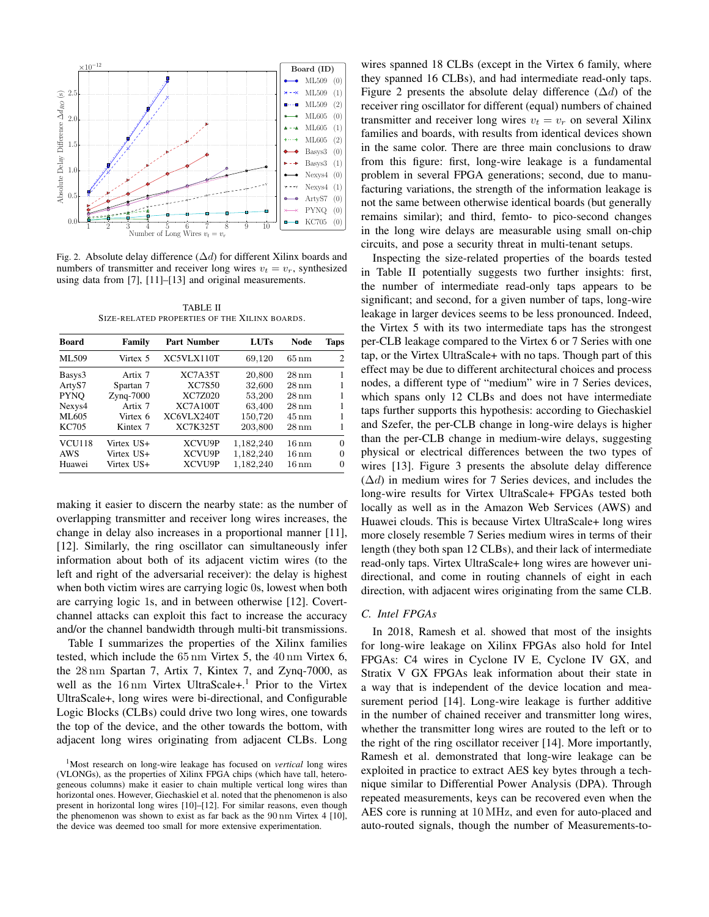

<span id="page-3-2"></span>Fig. 2. Absolute delay difference  $(\Delta d)$  for different Xilinx boards and numbers of transmitter and receiver long wires  $v_t = v_r$ , synthesized using data from [\[7\]](#page-5-6), [\[11\]](#page-5-10)–[\[13\]](#page-5-11) and original measurements.

TABLE II SIZE-RELATED PROPERTIES OF THE XILINX BOARDS.

<span id="page-3-3"></span>

| <b>Board</b>  | Family       | <b>Part Number</b> | <b>LUTs</b> | <b>Node</b>        | Taps     |
|---------------|--------------|--------------------|-------------|--------------------|----------|
| ML509         | Virtex 5     | XC5VLX110T         | 69,120      | $65 \,\mathrm{nm}$ | 2        |
| Basys3        | Artix 7      | XC7A35T            | 20,800      | $28 \,\mathrm{nm}$ |          |
| ArtyS7        | Spartan 7    | <b>XC7S50</b>      | 32,600      | $28 \,\mathrm{nm}$ |          |
| <b>PYNO</b>   | $Z$ ynq-7000 | <b>XC7Z020</b>     | 53,200      | $28 \,\mathrm{nm}$ |          |
| Nexys4        | Artix 7      | <b>XC7A100T</b>    | 63,400      | $28 \,\mathrm{nm}$ |          |
| ML605         | Virtex 6     | XC6VLX240T         | 150,720     | 45 nm              |          |
| KC705         | Kintex 7     | <b>XC7K325T</b>    | 203,800     | $28 \,\mathrm{nm}$ |          |
| <b>VCU118</b> | Virtex US+   | XCVU9P             | 1,182,240   | $16 \,\mathrm{nm}$ | $\Omega$ |
| <b>AWS</b>    | Virtex US+   | XCVU9P             | 1,182,240   | $16\,\mathrm{nm}$  | $\Omega$ |
| Huawei        | Virtex US+   | XCVU9P             | 1,182,240   | $16\,\mathrm{nm}$  | $\Omega$ |

making it easier to discern the nearby state: as the number of overlapping transmitter and receiver long wires increases, the change in delay also increases in a proportional manner [\[11\]](#page-5-10), [\[12\]](#page-5-20). Similarly, the ring oscillator can simultaneously infer information about both of its adjacent victim wires (to the left and right of the adversarial receiver): the delay is highest when both victim wires are carrying logic 0s, lowest when both are carrying logic 1s, and in between otherwise [\[12\]](#page-5-20). Covertchannel attacks can exploit this fact to increase the accuracy and/or the channel bandwidth through multi-bit transmissions.

Table [I](#page-2-3) summarizes the properties of the Xilinx families tested, which include the 65 nm Virtex 5, the 40 nm Virtex 6, the 28 nm Spartan 7, Artix 7, Kintex 7, and Zynq-7000, as well as the [1](#page-3-1)6 nm Virtex UltraScale+.<sup>1</sup> Prior to the Virtex UltraScale+, long wires were bi-directional, and Configurable Logic Blocks (CLBs) could drive two long wires, one towards the top of the device, and the other towards the bottom, with adjacent long wires originating from adjacent CLBs. Long

wires spanned 18 CLBs (except in the Virtex 6 family, where they spanned 16 CLBs), and had intermediate read-only taps. Figure [2](#page-3-2) presents the absolute delay difference ( $\Delta d$ ) of the receiver ring oscillator for different (equal) numbers of chained transmitter and receiver long wires  $v_t = v_r$  on several Xilinx families and boards, with results from identical devices shown in the same color. There are three main conclusions to draw from this figure: first, long-wire leakage is a fundamental problem in several FPGA generations; second, due to manufacturing variations, the strength of the information leakage is not the same between otherwise identical boards (but generally remains similar); and third, femto- to pico-second changes in the long wire delays are measurable using small on-chip circuits, and pose a security threat in multi-tenant setups.

Inspecting the size-related properties of the boards tested in Table [II](#page-3-3) potentially suggests two further insights: first, the number of intermediate read-only taps appears to be significant; and second, for a given number of taps, long-wire leakage in larger devices seems to be less pronounced. Indeed, the Virtex 5 with its two intermediate taps has the strongest per-CLB leakage compared to the Virtex 6 or 7 Series with one tap, or the Virtex UltraScale+ with no taps. Though part of this effect may be due to different architectural choices and process nodes, a different type of "medium" wire in 7 Series devices, which spans only 12 CLBs and does not have intermediate taps further supports this hypothesis: according to Giechaskiel and Szefer, the per-CLB change in long-wire delays is higher than the per-CLB change in medium-wire delays, suggesting physical or electrical differences between the two types of wires [\[13\]](#page-5-11). Figure [3](#page-4-1) presents the absolute delay difference  $(\Delta d)$  in medium wires for 7 Series devices, and includes the long-wire results for Virtex UltraScale+ FPGAs tested both locally as well as in the Amazon Web Services (AWS) and Huawei clouds. This is because Virtex UltraScale+ long wires more closely resemble 7 Series medium wires in terms of their length (they both span 12 CLBs), and their lack of intermediate read-only taps. Virtex UltraScale+ long wires are however unidirectional, and come in routing channels of eight in each direction, with adjacent wires originating from the same CLB.

#### <span id="page-3-0"></span>*C. Intel FPGAs*

In 2018, Ramesh et al. showed that most of the insights for long-wire leakage on Xilinx FPGAs also hold for Intel FPGAs: C4 wires in Cyclone IV E, Cyclone IV GX, and Stratix V GX FPGAs leak information about their state in a way that is independent of the device location and measurement period [\[14\]](#page-5-12). Long-wire leakage is further additive in the number of chained receiver and transmitter long wires, whether the transmitter long wires are routed to the left or to the right of the ring oscillator receiver [\[14\]](#page-5-12). More importantly, Ramesh et al. demonstrated that long-wire leakage can be exploited in practice to extract AES key bytes through a technique similar to Differential Power Analysis (DPA). Through repeated measurements, keys can be recovered even when the AES core is running at 10 MHz, and even for auto-placed and auto-routed signals, though the number of Measurements-to-

<span id="page-3-1"></span><sup>1</sup>Most research on long-wire leakage has focused on *vertical* long wires (VLONGs), as the properties of Xilinx FPGA chips (which have tall, heterogeneous columns) make it easier to chain multiple vertical long wires than horizontal ones. However, Giechaskiel et al. noted that the phenomenon is also present in horizontal long wires [\[10\]](#page-5-9)–[\[12\]](#page-5-20). For similar reasons, even though the phenomenon was shown to exist as far back as the 90 nm Virtex 4 [\[10\]](#page-5-9), the device was deemed too small for more extensive experimentation.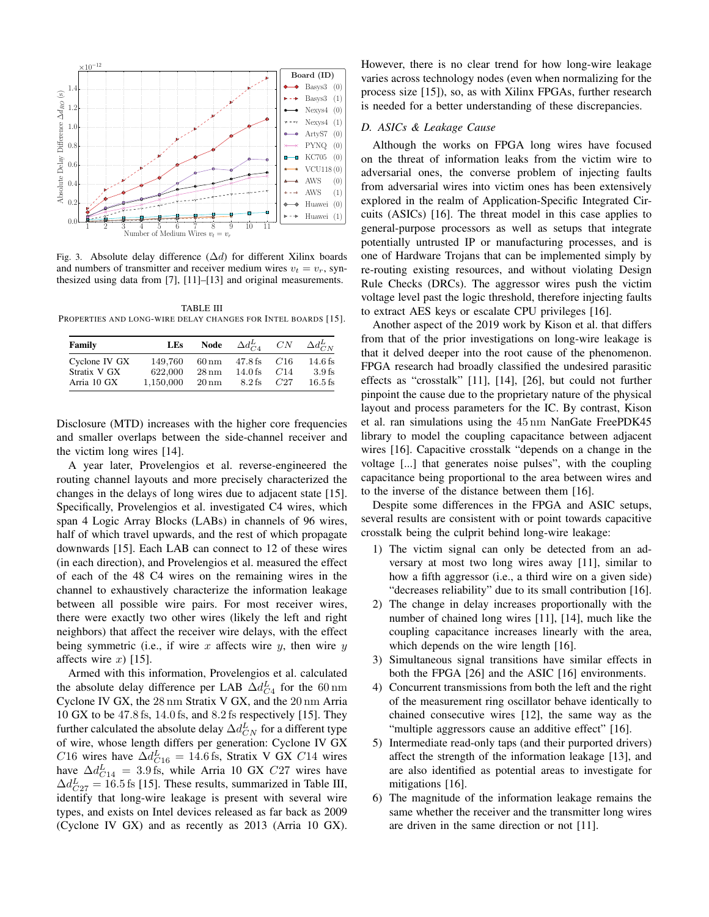

<span id="page-4-1"></span>Fig. 3. Absolute delay difference  $(\Delta d)$  for different Xilinx boards and numbers of transmitter and receiver medium wires  $v_t = v_r$ , synthesized using data from [\[7\]](#page-5-6), [\[11\]](#page-5-10)–[\[13\]](#page-5-11) and original measurements.

<span id="page-4-2"></span>TABLE III PROPERTIES AND LONG-WIRE DELAY CHANGES FOR INTEL BOARDS [\[15\]](#page-5-13).

| Family        | <b>LEs</b> | Node               | $\Delta d_{CA}^L$ | CN  | $\Delta d_{C_N}^L$ |
|---------------|------------|--------------------|-------------------|-----|--------------------|
| Cyclone IV GX | 149.760    | $60\,\mathrm{nm}$  | $47.8$ fs         | C16 | $14.6$ fs          |
| Stratix V GX  | 622,000    | $28 \text{ nm}$    | $14.0$ fs         | C14 | $3.9$ fs           |
| Arria 10 GX   | 1.150.000  | $20 \,\mathrm{nm}$ | $8.2$ fs          | C27 | $16.5$ fs          |

Disclosure (MTD) increases with the higher core frequencies and smaller overlaps between the side-channel receiver and the victim long wires [\[14\]](#page-5-12).

A year later, Provelengios et al. reverse-engineered the routing channel layouts and more precisely characterized the changes in the delays of long wires due to adjacent state [\[15\]](#page-5-13). Specifically, Provelengios et al. investigated C4 wires, which span 4 Logic Array Blocks (LABs) in channels of 96 wires, half of which travel upwards, and the rest of which propagate downwards [\[15\]](#page-5-13). Each LAB can connect to 12 of these wires (in each direction), and Provelengios et al. measured the effect of each of the 48 C4 wires on the remaining wires in the channel to exhaustively characterize the information leakage between all possible wire pairs. For most receiver wires, there were exactly two other wires (likely the left and right neighbors) that affect the receiver wire delays, with the effect being symmetric (i.e., if wire x affects wire y, then wire y affects wire x) [\[15\]](#page-5-13).

Armed with this information, Provelengios et al. calculated the absolute delay difference per LAB  $\Delta d_{C4}^{L}$  for the 60 nm Cyclone IV GX, the 28 nm Stratix V GX, and the 20 nm Arria 10 GX to be 47.8 fs, 14.0 fs, and 8.2 fs respectively [\[15\]](#page-5-13). They further calculated the absolute delay  $\Delta d_{CN}^L$  for a different type of wire, whose length differs per generation: Cyclone IV GX C16 wires have  $\Delta d_{C16}^L = 14.6$  fs, Stratix V GX C14 wires have  $\Delta d_{C14}^L = 3.9$  fs, while Arria 10 GX  $C27$  wires have  $\Delta d_{C27}^L = 16.5$  fs [\[15\]](#page-5-13). These results, summarized in Table [III,](#page-4-2) identify that long-wire leakage is present with several wire types, and exists on Intel devices released as far back as 2009 (Cyclone IV GX) and as recently as 2013 (Arria 10 GX).

However, there is no clear trend for how long-wire leakage varies across technology nodes (even when normalizing for the process size [\[15\]](#page-5-13)), so, as with Xilinx FPGAs, further research is needed for a better understanding of these discrepancies.

#### <span id="page-4-0"></span>*D. ASICs & Leakage Cause*

Although the works on FPGA long wires have focused on the threat of information leaks from the victim wire to adversarial ones, the converse problem of injecting faults from adversarial wires into victim ones has been extensively explored in the realm of Application-Specific Integrated Circuits (ASICs) [\[16\]](#page-5-14). The threat model in this case applies to general-purpose processors as well as setups that integrate potentially untrusted IP or manufacturing processes, and is one of Hardware Trojans that can be implemented simply by re-routing existing resources, and without violating Design Rule Checks (DRCs). The aggressor wires push the victim voltage level past the logic threshold, therefore injecting faults to extract AES keys or escalate CPU privileges [\[16\]](#page-5-14).

Another aspect of the 2019 work by Kison et al. that differs from that of the prior investigations on long-wire leakage is that it delved deeper into the root cause of the phenomenon. FPGA research had broadly classified the undesired parasitic effects as "crosstalk" [\[11\]](#page-5-10), [\[14\]](#page-5-12), [\[26\]](#page-6-3), but could not further pinpoint the cause due to the proprietary nature of the physical layout and process parameters for the IC. By contrast, Kison et al. ran simulations using the 45 nm NanGate FreePDK45 library to model the coupling capacitance between adjacent wires [\[16\]](#page-5-14). Capacitive crosstalk "depends on a change in the voltage [...] that generates noise pulses", with the coupling capacitance being proportional to the area between wires and to the inverse of the distance between them [\[16\]](#page-5-14).

Despite some differences in the FPGA and ASIC setups, several results are consistent with or point towards capacitive crosstalk being the culprit behind long-wire leakage:

- 1) The victim signal can only be detected from an adversary at most two long wires away [\[11\]](#page-5-10), similar to how a fifth aggressor (i.e., a third wire on a given side) "decreases reliability" due to its small contribution [\[16\]](#page-5-14).
- 2) The change in delay increases proportionally with the number of chained long wires [\[11\]](#page-5-10), [\[14\]](#page-5-12), much like the coupling capacitance increases linearly with the area, which depends on the wire length [\[16\]](#page-5-14).
- 3) Simultaneous signal transitions have similar effects in both the FPGA [\[26\]](#page-6-3) and the ASIC [\[16\]](#page-5-14) environments.
- 4) Concurrent transmissions from both the left and the right of the measurement ring oscillator behave identically to chained consecutive wires [\[12\]](#page-5-20), the same way as the "multiple aggressors cause an additive effect" [\[16\]](#page-5-14).
- 5) Intermediate read-only taps (and their purported drivers) affect the strength of the information leakage [\[13\]](#page-5-11), and are also identified as potential areas to investigate for mitigations [\[16\]](#page-5-14).
- 6) The magnitude of the information leakage remains the same whether the receiver and the transmitter long wires are driven in the same direction or not [\[11\]](#page-5-10).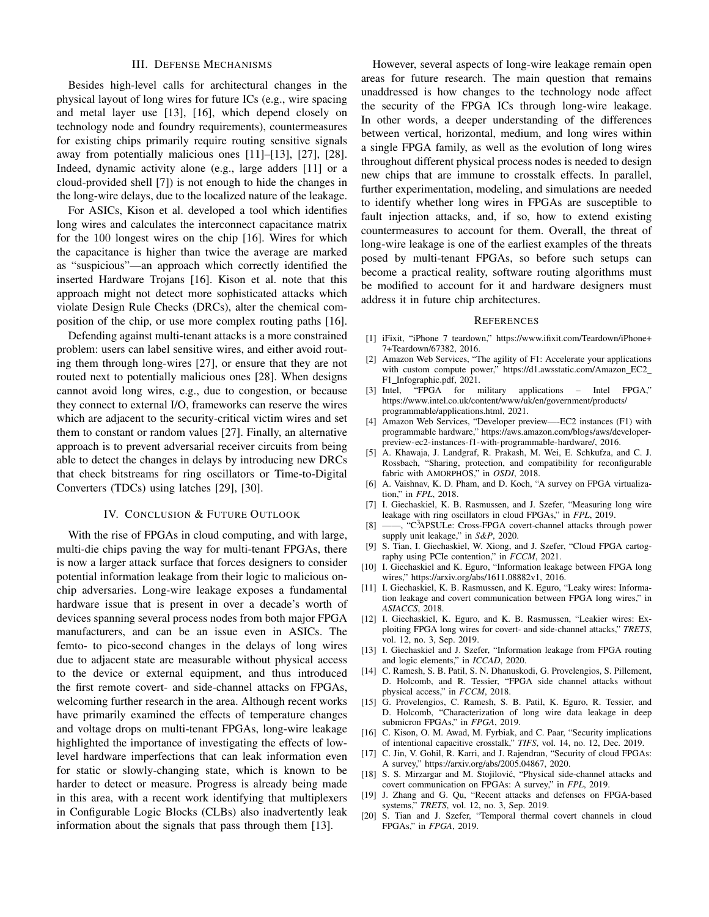### III. DEFENSE MECHANISMS

<span id="page-5-15"></span>Besides high-level calls for architectural changes in the physical layout of long wires for future ICs (e.g., wire spacing and metal layer use [\[13\]](#page-5-11), [\[16\]](#page-5-14), which depend closely on technology node and foundry requirements), countermeasures for existing chips primarily require routing sensitive signals away from potentially malicious ones [\[11\]](#page-5-10)–[\[13\]](#page-5-11), [\[27\]](#page-6-4), [\[28\]](#page-6-5). Indeed, dynamic activity alone (e.g., large adders [\[11\]](#page-5-10) or a cloud-provided shell [\[7\]](#page-5-6)) is not enough to hide the changes in the long-wire delays, due to the localized nature of the leakage.

For ASICs, Kison et al. developed a tool which identifies long wires and calculates the interconnect capacitance matrix for the 100 longest wires on the chip [\[16\]](#page-5-14). Wires for which the capacitance is higher than twice the average are marked as "suspicious"—an approach which correctly identified the inserted Hardware Trojans [\[16\]](#page-5-14). Kison et al. note that this approach might not detect more sophisticated attacks which violate Design Rule Checks (DRCs), alter the chemical composition of the chip, or use more complex routing paths [\[16\]](#page-5-14).

Defending against multi-tenant attacks is a more constrained problem: users can label sensitive wires, and either avoid routing them through long-wires [\[27\]](#page-6-4), or ensure that they are not routed next to potentially malicious ones [\[28\]](#page-6-5). When designs cannot avoid long wires, e.g., due to congestion, or because they connect to external I/O, frameworks can reserve the wires which are adjacent to the security-critical victim wires and set them to constant or random values [\[27\]](#page-6-4). Finally, an alternative approach is to prevent adversarial receiver circuits from being able to detect the changes in delays by introducing new DRCs that check bitstreams for ring oscillators or Time-to-Digital Converters (TDCs) using latches [\[29\]](#page-6-6), [\[30\]](#page-6-7).

# IV. CONCLUSION & FUTURE OUTLOOK

<span id="page-5-16"></span>With the rise of FPGAs in cloud computing, and with large, multi-die chips paving the way for multi-tenant FPGAs, there is now a larger attack surface that forces designers to consider potential information leakage from their logic to malicious onchip adversaries. Long-wire leakage exposes a fundamental hardware issue that is present in over a decade's worth of devices spanning several process nodes from both major FPGA manufacturers, and can be an issue even in ASICs. The femto- to pico-second changes in the delays of long wires due to adjacent state are measurable without physical access to the device or external equipment, and thus introduced the first remote covert- and side-channel attacks on FPGAs, welcoming further research in the area. Although recent works have primarily examined the effects of temperature changes and voltage drops on multi-tenant FPGAs, long-wire leakage highlighted the importance of investigating the effects of lowlevel hardware imperfections that can leak information even for static or slowly-changing state, which is known to be harder to detect or measure. Progress is already being made in this area, with a recent work identifying that multiplexers in Configurable Logic Blocks (CLBs) also inadvertently leak information about the signals that pass through them [\[13\]](#page-5-11).

However, several aspects of long-wire leakage remain open areas for future research. The main question that remains unaddressed is how changes to the technology node affect the security of the FPGA ICs through long-wire leakage. In other words, a deeper understanding of the differences between vertical, horizontal, medium, and long wires within a single FPGA family, as well as the evolution of long wires throughout different physical process nodes is needed to design new chips that are immune to crosstalk effects. In parallel, further experimentation, modeling, and simulations are needed to identify whether long wires in FPGAs are susceptible to fault injection attacks, and, if so, how to extend existing countermeasures to account for them. Overall, the threat of long-wire leakage is one of the earliest examples of the threats posed by multi-tenant FPGAs, so before such setups can become a practical reality, software routing algorithms must be modified to account for it and hardware designers must address it in future chip architectures.

#### **REFERENCES**

- <span id="page-5-0"></span>[1] iFixit, "iPhone 7 teardown," [https://www.ifixit.com/Teardown/iPhone+](https://www.ifixit.com/Teardown/iPhone+7+Teardown/67382 ) [7+Teardown/67382,](https://www.ifixit.com/Teardown/iPhone+7+Teardown/67382 ) 2016.
- <span id="page-5-1"></span>[2] Amazon Web Services, "The agility of F1: Accelerate your applications with custom compute power," [https://d1.awsstatic.com/Amazon](https://d1.awsstatic.com/Amazon_EC2_F1_Infographic.pdf)\_EC2\_ F1\_[Infographic.pdf,](https://d1.awsstatic.com/Amazon_EC2_F1_Infographic.pdf) 2021.
- <span id="page-5-2"></span>[3] Intel, "FPGA for military applications – Intel FPGA," [https://www.intel.co.uk/content/www/uk/en/government/products/](https://www.intel.co.uk/content/www/uk/en/government/products/programmable/applications.html) [programmable/applications.html,](https://www.intel.co.uk/content/www/uk/en/government/products/programmable/applications.html) 2021.
- <span id="page-5-3"></span>[4] Amazon Web Services, "Developer preview—-EC2 instances (F1) with programmable hardware," [https://aws.amazon.com/blogs/aws/developer](https://aws.amazon.com/blogs/aws/developer-preview-ec2-instances-f1-with-programmable-hardware/)[preview-ec2-instances-f1-with-programmable-hardware/,](https://aws.amazon.com/blogs/aws/developer-preview-ec2-instances-f1-with-programmable-hardware/) 2016.
- <span id="page-5-4"></span>[5] A. Khawaja, J. Landgraf, R. Prakash, M. Wei, E. Schkufza, and C. J. Rossbach, "Sharing, protection, and compatibility for reconfigurable fabric with AMORPHOS," in *OSDI*, 2018.
- <span id="page-5-5"></span>[6] A. Vaishnav, K. D. Pham, and D. Koch, "A survey on FPGA virtualization," in *FPL*, 2018.
- <span id="page-5-6"></span>[7] I. Giechaskiel, K. B. Rasmussen, and J. Szefer, "Measuring long wire leakage with ring oscillators in cloud FPGAs," in *FPL*, 2019.
- <span id="page-5-7"></span>[8] ——, "C<sup>3</sup>APSULe: Cross-FPGA covert-channel attacks through power supply unit leakage," in *S&P*, 2020.
- <span id="page-5-8"></span>[9] S. Tian, I. Giechaskiel, W. Xiong, and J. Szefer, "Cloud FPGA cartography using PCIe contention," in *FCCM*, 2021.
- <span id="page-5-9"></span>[10] I. Giechaskiel and K. Eguro, "Information leakage between FPGA long wires," [https://arxiv.org/abs/1611.08882v1,](https://arxiv.org/abs/1611.08882v1) 2016.
- <span id="page-5-10"></span>[11] I. Giechaskiel, K. B. Rasmussen, and K. Eguro, "Leaky wires: Information leakage and covert communication between FPGA long wires," in *ASIACCS*, 2018.
- <span id="page-5-20"></span>[12] I. Giechaskiel, K. Eguro, and K. B. Rasmussen, "Leakier wires: Exploiting FPGA long wires for covert- and side-channel attacks," *TRETS*, vol. 12, no. 3, Sep. 2019.
- <span id="page-5-11"></span>[13] I. Giechaskiel and J. Szefer, "Information leakage from FPGA routing and logic elements," in *ICCAD*, 2020.
- <span id="page-5-12"></span>[14] C. Ramesh, S. B. Patil, S. N. Dhanuskodi, G. Provelengios, S. Pillement, D. Holcomb, and R. Tessier, "FPGA side channel attacks without physical access," in *FCCM*, 2018.
- <span id="page-5-13"></span>[15] G. Provelengios, C. Ramesh, S. B. Patil, K. Eguro, R. Tessier, and D. Holcomb, "Characterization of long wire data leakage in deep submicron FPGAs," in *FPGA*, 2019.
- <span id="page-5-14"></span>[16] C. Kison, O. M. Awad, M. Fyrbiak, and C. Paar, "Security implications of intentional capacitive crosstalk," *TIFS*, vol. 14, no. 12, Dec. 2019.
- <span id="page-5-17"></span>[17] C. Jin, V. Gohil, R. Karri, and J. Rajendran, "Security of cloud FPGAs: A survey," [https://arxiv.org/abs/2005.04867,](https://arxiv.org/abs/2005.04867) 2020.
- [18] S. S. Mirzargar and M. Stojilović, "Physical side-channel attacks and covert communication on FPGAs: A survey," in *FPL*, 2019.
- <span id="page-5-18"></span>[19] J. Zhang and G. Qu, "Recent attacks and defenses on FPGA-based systems," *TRETS*, vol. 12, no. 3, Sep. 2019.
- <span id="page-5-19"></span>[20] S. Tian and J. Szefer, "Temporal thermal covert channels in cloud FPGAs," in *FPGA*, 2019.